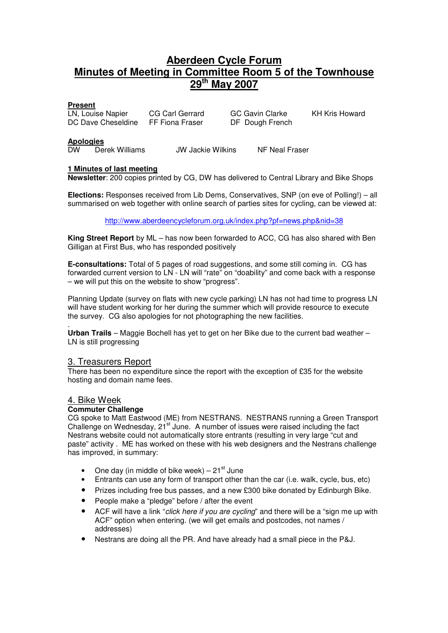# **Aberdeen Cycle Forum Minutes of Meeting in Committee Room 5 of the Townhouse 29th May 2007**

# **Present**

LN, Louise Napier CG Carl Gerrard GC Gavin Clarke KH Kris Howard DC Dave Cheseldine FF Fiona Fraser DF Dough French

### **Apologies**

DW Derek Williams JW Jackie Wilkins NF Neal Fraser

# **1 Minutes of last meeting**

**Newsletter**: 200 copies printed by CG, DW has delivered to Central Library and Bike Shops

**Elections:** Responses received from Lib Dems, Conservatives, SNP (on eve of Polling!) – all summarised on web together with online search of parties sites for cycling, can be viewed at:

http://www.aberdeencycleforum.org.uk/index.php?pf=news.php&nid=38

**King Street Report** by ML – has now been forwarded to ACC, CG has also shared with Ben Gilligan at First Bus, who has responded positively

**E-consultations:** Total of 5 pages of road suggestions, and some still coming in. CG has forwarded current version to LN - LN will "rate" on "doability" and come back with a response – we will put this on the website to show "progress".

Planning Update (survey on flats with new cycle parking) LN has not had time to progress LN will have student working for her during the summer which will provide resource to execute the survey. CG also apologies for not photographing the new facilities.

. **Urban Trails** – Maggie Bochell has yet to get on her Bike due to the current bad weather – LN is still progressing

# 3. Treasurers Report

There has been no expenditure since the report with the exception of £35 for the website hosting and domain name fees.

# 4. Bike Week

# **Commuter Challenge**

CG spoke to Matt Eastwood (ME) from NESTRANS. NESTRANS running a Green Transport Challenge on Wednesday,  $2i^{st}$  June. A number of issues were raised including the fact Nestrans website could not automatically store entrants (resulting in very large "cut and paste" activity . ME has worked on these with his web designers and the Nestrans challenge has improved, in summary:

- One day (in middle of bike week)  $21<sup>st</sup>$  June
- Entrants can use any form of transport other than the car (i.e. walk, cycle, bus, etc)
- Prizes including free bus passes, and a new £300 bike donated by Edinburgh Bike.
- People make a "pledge" before / after the event
- ACF will have a link "click here if you are cycling" and there will be a "sign me up with ACF" option when entering. (we will get emails and postcodes, not names / addresses)
- Nestrans are doing all the PR. And have already had a small piece in the P&J.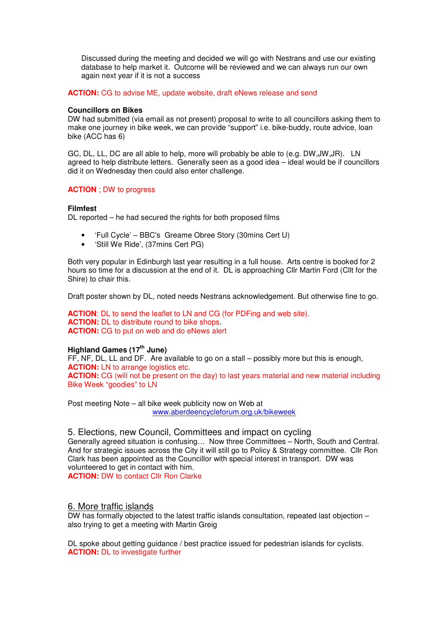Discussed during the meeting and decided we will go with Nestrans and use our existing database to help market it. Outcome will be reviewed and we can always run our own again next year if it is not a success

### **ACTION:** CG to advise ME, update website, draft eNews release and send

#### **Councillors on Bikes**

DW had submitted (via email as not present) proposal to write to all councillors asking them to make one journey in bike week, we can provide "support" i.e. bike-buddy, route advice, loan bike (ACC has 6)

GC, DL, LL, DC are all able to help, more will probably be able to (e.g. DW,JW,JR). LN agreed to help distribute letters. Generally seen as a good idea – ideal would be if councillors did it on Wednesday then could also enter challenge.

### **ACTION** ; DW to progress

#### **Filmfest**

DL reported – he had secured the rights for both proposed films

- 'Full Cycle' BBC's Greame Obree Story (30mins Cert U)
- 'Still We Ride', (37mins Cert PG)

Both very popular in Edinburgh last year resulting in a full house. Arts centre is booked for 2 hours so time for a discussion at the end of it. DL is approaching Cllr Martin Ford (Cllt for the Shire) to chair this.

Draft poster shown by DL, noted needs Nestrans acknowledgement. But otherwise fine to go.

**ACTION**: DL to send the leaflet to LN and CG (for PDFing and web site). **ACTION:** DL to distribute round to bike shops. **ACTION:** CG to put on web and do eNews alert

# **Highland Games (17th June)**

FF, NF, DL, LL and DF. Are available to go on a stall – possibly more but this is enough, **ACTION:** LN to arrange logistics etc. **ACTION:** CG (will not be present on the day) to last years material and new material including Bike Week "goodies" to LN

Post meeting Note – all bike week publicity now on Web at www.aberdeencycleforum.org.uk/bikeweek

### 5. Elections, new Council, Committees and impact on cycling

Generally agreed situation is confusing… Now three Committees – North, South and Central. And for strategic issues across the City it will still go to Policy & Strategy committee. Cllr Ron Clark has been appointed as the Councillor with special interest in transport. DW was volunteered to get in contact with him. **ACTION:** DW to contact Cllr Ron Clarke

### 6. More traffic islands

DW has formally objected to the latest traffic islands consultation, repeated last objection – also trying to get a meeting with Martin Greig

DL spoke about getting guidance / best practice issued for pedestrian islands for cyclists. **ACTION:** DL to investigate further